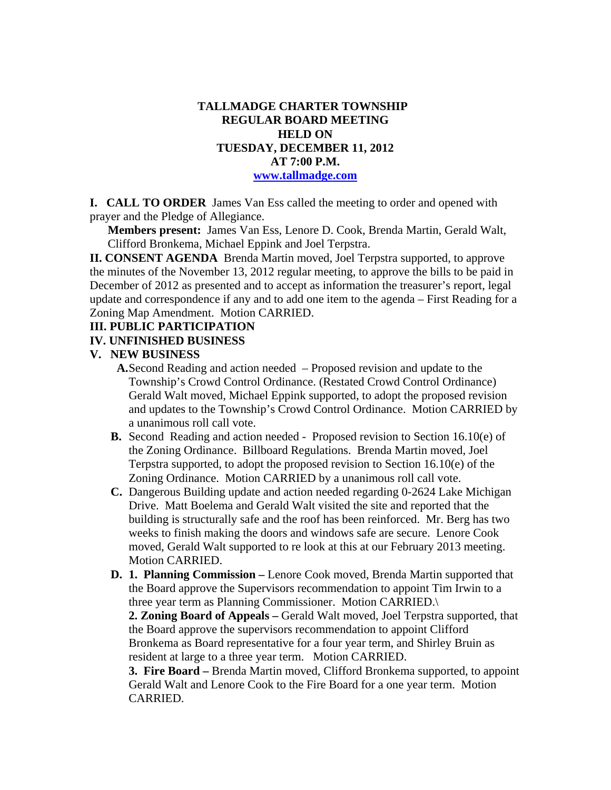### **TALLMADGE CHARTER TOWNSHIP REGULAR BOARD MEETING HELD ON TUESDAY, DECEMBER 11, 2012 AT 7:00 P.M. www.tallmadge.com**

**I. CALL TO ORDER** James Van Ess called the meeting to order and opened with prayer and the Pledge of Allegiance.

**Members present:** James Van Ess, Lenore D. Cook, Brenda Martin, Gerald Walt, Clifford Bronkema, Michael Eppink and Joel Terpstra.

**II. CONSENT AGENDA** Brenda Martin moved, Joel Terpstra supported, to approve the minutes of the November 13, 2012 regular meeting, to approve the bills to be paid in December of 2012 as presented and to accept as information the treasurer's report, legal update and correspondence if any and to add one item to the agenda – First Reading for a Zoning Map Amendment. Motion CARRIED.

# **III. PUBLIC PARTICIPATION**

#### **IV. UNFINISHED BUSINESS**

#### **V. NEW BUSINESS**

- **A.**Second Reading and action needed Proposed revision and update to the Township's Crowd Control Ordinance. (Restated Crowd Control Ordinance) Gerald Walt moved, Michael Eppink supported, to adopt the proposed revision and updates to the Township's Crowd Control Ordinance. Motion CARRIED by a unanimous roll call vote.
- **B.** Second Reading and action needed Proposed revision to Section 16.10(e) of the Zoning Ordinance. Billboard Regulations. Brenda Martin moved, Joel Terpstra supported, to adopt the proposed revision to Section 16.10(e) of the Zoning Ordinance. Motion CARRIED by a unanimous roll call vote.
- **C.** Dangerous Building update and action needed regarding 0-2624 Lake Michigan Drive. Matt Boelema and Gerald Walt visited the site and reported that the building is structurally safe and the roof has been reinforced. Mr. Berg has two weeks to finish making the doors and windows safe are secure. Lenore Cook moved, Gerald Walt supported to re look at this at our February 2013 meeting. Motion CARRIED.
- **D. 1. Planning Commission** Lenore Cook moved, Brenda Martin supported that the Board approve the Supervisors recommendation to appoint Tim Irwin to a three year term as Planning Commissioner. Motion CARRIED.\

**2. Zoning Board of Appeals –** Gerald Walt moved, Joel Terpstra supported, that the Board approve the supervisors recommendation to appoint Clifford Bronkema as Board representative for a four year term, and Shirley Bruin as resident at large to a three year term. Motion CARRIED.

**3. Fire Board –** Brenda Martin moved, Clifford Bronkema supported, to appoint Gerald Walt and Lenore Cook to the Fire Board for a one year term. Motion CARRIED.